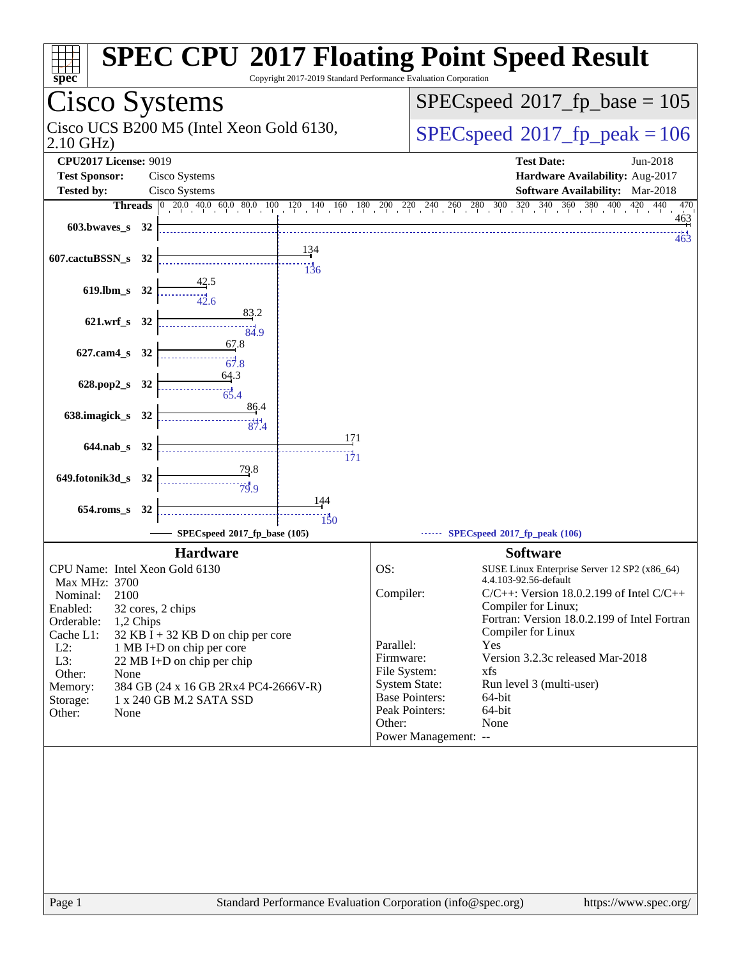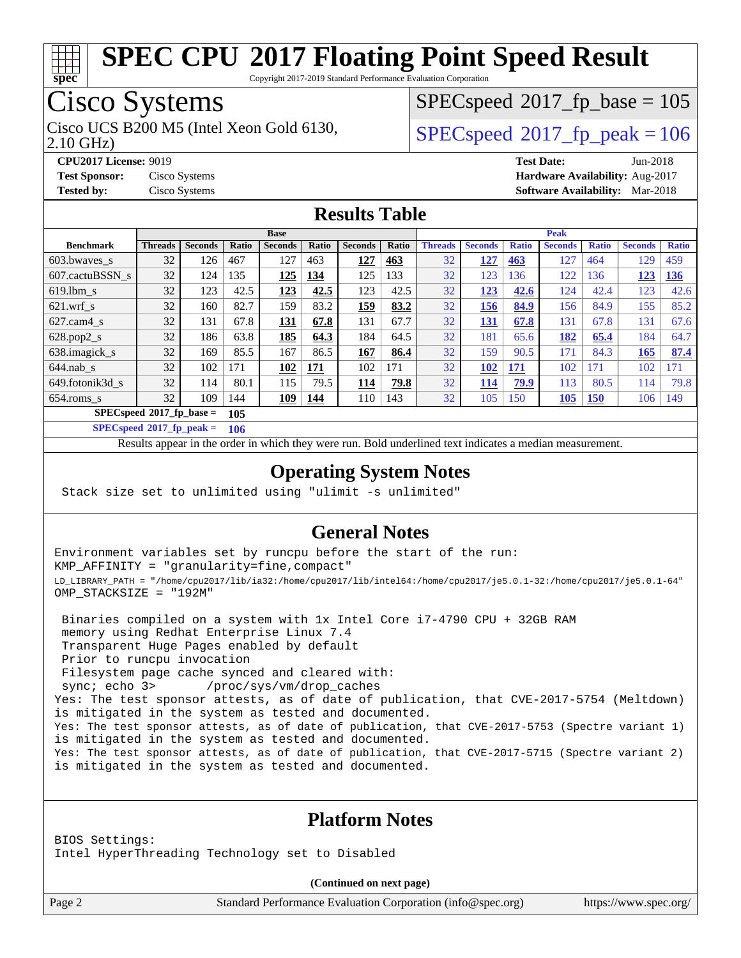

Copyright 2017-2019 Standard Performance Evaluation Corporation

## Cisco Systems

2.10 GHz) Cisco UCS B200 M5 (Intel Xeon Gold 6130,  $SPECspeed@2017$  $SPECspeed@2017$  fp\_peak = 106

 $SPEC speed$ <sup>®</sup>[2017\\_fp\\_base = 1](http://www.spec.org/auto/cpu2017/Docs/result-fields.html#SPECspeed2017fpbase)05

**[CPU2017 License:](http://www.spec.org/auto/cpu2017/Docs/result-fields.html#CPU2017License)** 9019 **[Test Date:](http://www.spec.org/auto/cpu2017/Docs/result-fields.html#TestDate)** Jun-2018 **[Test Sponsor:](http://www.spec.org/auto/cpu2017/Docs/result-fields.html#TestSponsor)** Cisco Systems **[Hardware Availability:](http://www.spec.org/auto/cpu2017/Docs/result-fields.html#HardwareAvailability)** Aug-2017 **[Tested by:](http://www.spec.org/auto/cpu2017/Docs/result-fields.html#Testedby)** Cisco Systems **[Software Availability:](http://www.spec.org/auto/cpu2017/Docs/result-fields.html#SoftwareAvailability)** Mar-2018

#### **[Results Table](http://www.spec.org/auto/cpu2017/Docs/result-fields.html#ResultsTable)**

|                                    | <b>Base</b>    |                |              |                |              | <b>Peak</b>    |       |                |                |              |                |              |                |              |
|------------------------------------|----------------|----------------|--------------|----------------|--------------|----------------|-------|----------------|----------------|--------------|----------------|--------------|----------------|--------------|
| <b>Benchmark</b>                   | <b>Threads</b> | <b>Seconds</b> | <b>Ratio</b> | <b>Seconds</b> | <b>Ratio</b> | <b>Seconds</b> | Ratio | <b>Threads</b> | <b>Seconds</b> | <b>Ratio</b> | <b>Seconds</b> | <b>Ratio</b> | <b>Seconds</b> | <b>Ratio</b> |
| 603.bwayes_s                       | 32             | 126            | 467          | 127            | 463          | 127            | 463   | 32             | 127            | 463          | 127            | 464          | 129            | 459          |
| 607.cactuBSSN s                    | 32             | 124            | 135          | 125            | 134          | 125            | 133   | 32             | 123            | 136          | 122            | <b>36</b>    | 123            | <b>136</b>   |
| $619.1$ bm s                       | 32             | 123            | 42.5         | 123            | 42.5         | 123            | 42.5  | 32             | 123            | 42.6         | 124            | 42.4         | 123            | 42.6         |
| $621$ .wrf s                       | 32             | 160            | 82.7         | 159            | 83.2         | 159            | 83.2  | 32             | 156            | 84.9         | 156            | 84.9         | 155            | 85.2         |
| $627$ .cam $4 \text{ s}$           | 32             | 131            | 67.8         | <u>131</u>     | 67.8         | 131            | 67.7  | 32             | <b>131</b>     | 67.8         | 131            | 67.8         | 131            | 67.6         |
| $628.pop2_s$                       | 32             | 186            | 63.8         | 185            | 64.3         | 184            | 64.5  | 32             | 181            | 65.6         | 182            | 65.4         | 184            | 64.7         |
| 638.imagick_s                      | 32             | 169            | 85.5         | 167            | 86.5         | 167            | 86.4  | 32             | 159            | 90.5         | 171            | 84.3         | 165            | 87.4         |
| $644$ .nab s                       | 32             | 102            | 171          | 102            | 171          | 102            | 171   | 32             | 102            | 171          | 102            | 171          | 102            | 171          |
| 649.fotonik3d s                    | 32             | 114            | 80.1         | 115            | 79.5         | 114            | 79.8  | 32             | 114            | 79.9         | 113            | 80.5         | 114            | 79.8         |
| $654$ .roms s                      | 32             | 109            | 144          | 109            | 144          | 110            | 143   | 32             | 105            | 150          | <b>105</b>     | <b>150</b>   | 106            | 149          |
| $SPECspeed^*2017$ fp base =<br>105 |                |                |              |                |              |                |       |                |                |              |                |              |                |              |

**[SPECspeed](http://www.spec.org/auto/cpu2017/Docs/result-fields.html#SPECspeed2017fppeak)[2017\\_fp\\_peak =](http://www.spec.org/auto/cpu2017/Docs/result-fields.html#SPECspeed2017fppeak) 106**

Results appear in the [order in which they were run.](http://www.spec.org/auto/cpu2017/Docs/result-fields.html#RunOrder) Bold underlined text [indicates a median measurement](http://www.spec.org/auto/cpu2017/Docs/result-fields.html#Median).

#### **[Operating System Notes](http://www.spec.org/auto/cpu2017/Docs/result-fields.html#OperatingSystemNotes)**

Stack size set to unlimited using "ulimit -s unlimited"

### **[General Notes](http://www.spec.org/auto/cpu2017/Docs/result-fields.html#GeneralNotes)**

Environment variables set by runcpu before the start of the run: KMP\_AFFINITY = "granularity=fine,compact" LD\_LIBRARY\_PATH = "/home/cpu2017/lib/ia32:/home/cpu2017/lib/intel64:/home/cpu2017/je5.0.1-32:/home/cpu2017/je5.0.1-64" OMP\_STACKSIZE = "192M"

 Binaries compiled on a system with 1x Intel Core i7-4790 CPU + 32GB RAM memory using Redhat Enterprise Linux 7.4 Transparent Huge Pages enabled by default Prior to runcpu invocation Filesystem page cache synced and cleared with: sync; echo 3> /proc/sys/vm/drop\_caches Yes: The test sponsor attests, as of date of publication, that CVE-2017-5754 (Meltdown) is mitigated in the system as tested and documented. Yes: The test sponsor attests, as of date of publication, that CVE-2017-5753 (Spectre variant 1) is mitigated in the system as tested and documented. Yes: The test sponsor attests, as of date of publication, that CVE-2017-5715 (Spectre variant 2) is mitigated in the system as tested and documented.

### **[Platform Notes](http://www.spec.org/auto/cpu2017/Docs/result-fields.html#PlatformNotes)**

BIOS Settings: Intel HyperThreading Technology set to Disabled

**(Continued on next page)**

Page 2 Standard Performance Evaluation Corporation [\(info@spec.org\)](mailto:info@spec.org) <https://www.spec.org/>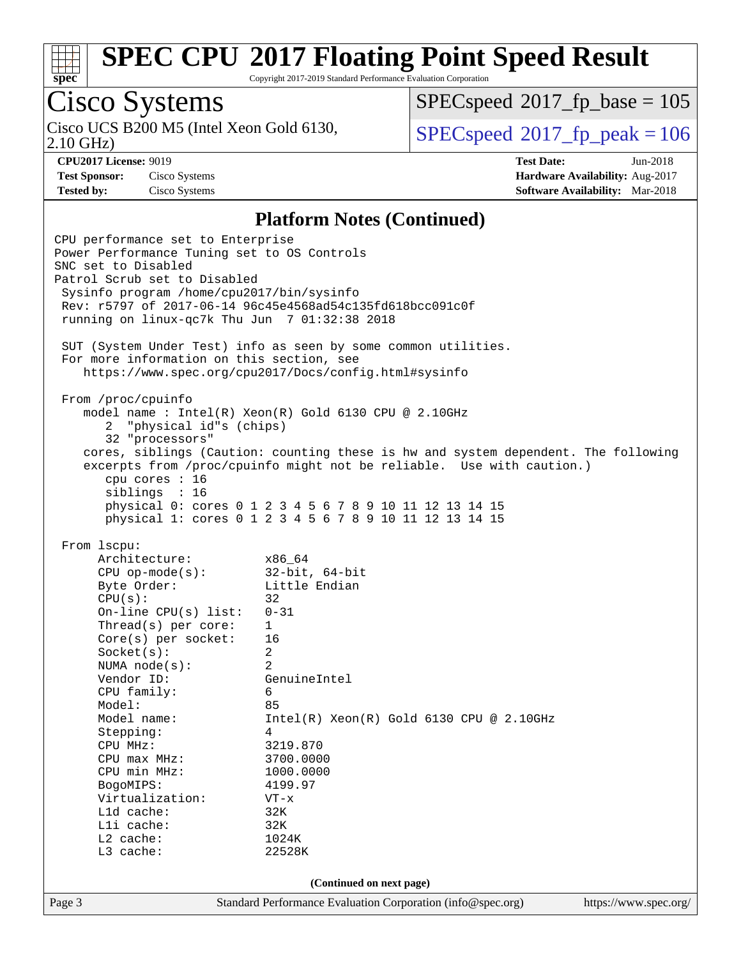

Copyright 2017-2019 Standard Performance Evaluation Corporation

# Cisco Systems

2.10 GHz) Cisco UCS B200 M5 (Intel Xeon Gold 6130,  $\vert$  [SPECspeed](http://www.spec.org/auto/cpu2017/Docs/result-fields.html#SPECspeed2017fppeak)®[2017\\_fp\\_peak = 1](http://www.spec.org/auto/cpu2017/Docs/result-fields.html#SPECspeed2017fppeak)06

[SPECspeed](http://www.spec.org/auto/cpu2017/Docs/result-fields.html#SPECspeed2017fpbase)<sup>®</sup>2017 fp base = 105

**[CPU2017 License:](http://www.spec.org/auto/cpu2017/Docs/result-fields.html#CPU2017License)** 9019 **[Test Date:](http://www.spec.org/auto/cpu2017/Docs/result-fields.html#TestDate)** Jun-2018 **[Test Sponsor:](http://www.spec.org/auto/cpu2017/Docs/result-fields.html#TestSponsor)** Cisco Systems **[Hardware Availability:](http://www.spec.org/auto/cpu2017/Docs/result-fields.html#HardwareAvailability)** Aug-2017 **[Tested by:](http://www.spec.org/auto/cpu2017/Docs/result-fields.html#Testedby)** Cisco Systems **[Software Availability:](http://www.spec.org/auto/cpu2017/Docs/result-fields.html#SoftwareAvailability)** Mar-2018

#### **[Platform Notes \(Continued\)](http://www.spec.org/auto/cpu2017/Docs/result-fields.html#PlatformNotes)**

Page 3 Standard Performance Evaluation Corporation [\(info@spec.org\)](mailto:info@spec.org) <https://www.spec.org/> CPU performance set to Enterprise Power Performance Tuning set to OS Controls SNC set to Disabled Patrol Scrub set to Disabled Sysinfo program /home/cpu2017/bin/sysinfo Rev: r5797 of 2017-06-14 96c45e4568ad54c135fd618bcc091c0f running on linux-qc7k Thu Jun 7 01:32:38 2018 SUT (System Under Test) info as seen by some common utilities. For more information on this section, see <https://www.spec.org/cpu2017/Docs/config.html#sysinfo> From /proc/cpuinfo model name : Intel(R) Xeon(R) Gold 6130 CPU @ 2.10GHz 2 "physical id"s (chips) 32 "processors" cores, siblings (Caution: counting these is hw and system dependent. The following excerpts from /proc/cpuinfo might not be reliable. Use with caution.) cpu cores : 16 siblings : 16 physical 0: cores 0 1 2 3 4 5 6 7 8 9 10 11 12 13 14 15 physical 1: cores 0 1 2 3 4 5 6 7 8 9 10 11 12 13 14 15 From lscpu: Architecture: x86\_64 CPU op-mode(s): 32-bit, 64-bit Byte Order: Little Endian  $CPU(s):$  32 On-line CPU(s) list: 0-31 Thread(s) per core: 1 Core(s) per socket: 16 Socket(s): 2 NUMA node(s): 2 Vendor ID: GenuineIntel CPU family: 6 Model: 85 Model name:  $Intel(R)$  Xeon(R) Gold 6130 CPU @ 2.10GHz Stepping: 4 CPU MHz: 3219.870 CPU max MHz: 3700.0000 CPU min MHz: 1000.0000 BogoMIPS: 4199.97 Virtualization: VT-x L1d cache: 32K<br>
L1i cache: 32K  $L1i$  cache: L2 cache: 1024K L3 cache: 22528K **(Continued on next page)**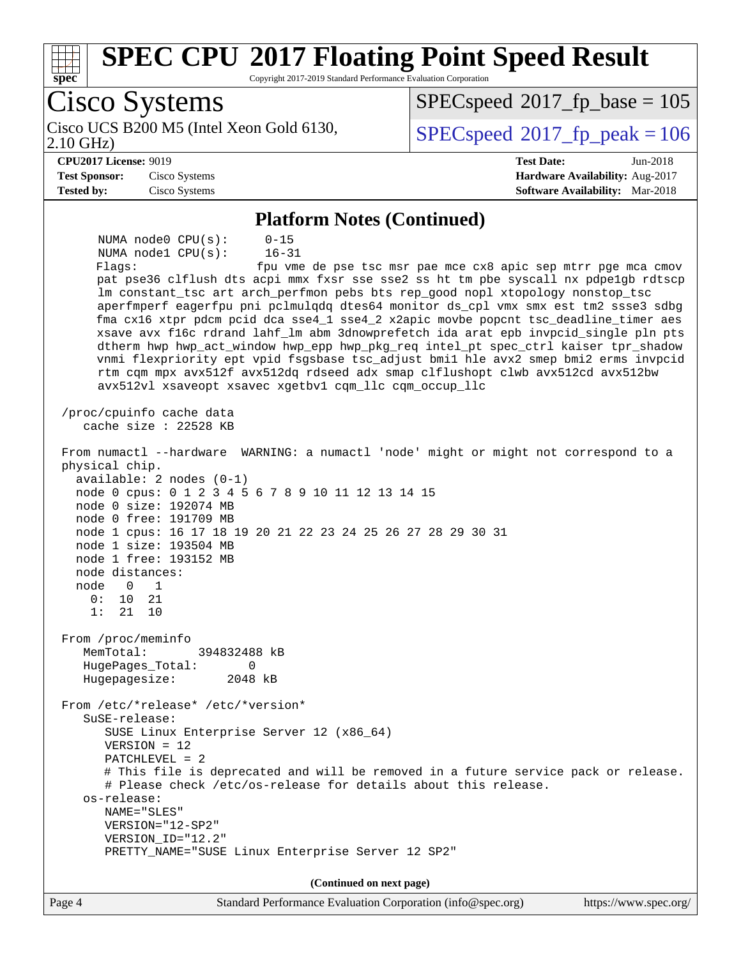| <b>SPEC CPU®2017 Floating Point Speed Result</b><br>spec<br>Copyright 2017-2019 Standard Performance Evaluation Corporation                                                                                                                                                                                                                                                                                                                                                                                                                                                                                                                                                                                                                                                                                                                                                                                                                                                                                                                                                                                                                                                                                                                                                                                                                                                                                                                                                                                                                                                                                                                                                                                                        |                                                               |
|------------------------------------------------------------------------------------------------------------------------------------------------------------------------------------------------------------------------------------------------------------------------------------------------------------------------------------------------------------------------------------------------------------------------------------------------------------------------------------------------------------------------------------------------------------------------------------------------------------------------------------------------------------------------------------------------------------------------------------------------------------------------------------------------------------------------------------------------------------------------------------------------------------------------------------------------------------------------------------------------------------------------------------------------------------------------------------------------------------------------------------------------------------------------------------------------------------------------------------------------------------------------------------------------------------------------------------------------------------------------------------------------------------------------------------------------------------------------------------------------------------------------------------------------------------------------------------------------------------------------------------------------------------------------------------------------------------------------------------|---------------------------------------------------------------|
| Cisco Systems                                                                                                                                                                                                                                                                                                                                                                                                                                                                                                                                                                                                                                                                                                                                                                                                                                                                                                                                                                                                                                                                                                                                                                                                                                                                                                                                                                                                                                                                                                                                                                                                                                                                                                                      | $SPEC speed^{\circ}2017\_fp\_base = 105$                      |
| Cisco UCS B200 M5 (Intel Xeon Gold 6130,<br>$2.10$ GHz)                                                                                                                                                                                                                                                                                                                                                                                                                                                                                                                                                                                                                                                                                                                                                                                                                                                                                                                                                                                                                                                                                                                                                                                                                                                                                                                                                                                                                                                                                                                                                                                                                                                                            | $SPEC speed^{\circ}2017$ fp peak = 106                        |
| <b>CPU2017 License: 9019</b>                                                                                                                                                                                                                                                                                                                                                                                                                                                                                                                                                                                                                                                                                                                                                                                                                                                                                                                                                                                                                                                                                                                                                                                                                                                                                                                                                                                                                                                                                                                                                                                                                                                                                                       | <b>Test Date:</b><br>Jun-2018                                 |
| <b>Test Sponsor:</b><br>Cisco Systems                                                                                                                                                                                                                                                                                                                                                                                                                                                                                                                                                                                                                                                                                                                                                                                                                                                                                                                                                                                                                                                                                                                                                                                                                                                                                                                                                                                                                                                                                                                                                                                                                                                                                              | Hardware Availability: Aug-2017                               |
| <b>Tested by:</b><br>Cisco Systems                                                                                                                                                                                                                                                                                                                                                                                                                                                                                                                                                                                                                                                                                                                                                                                                                                                                                                                                                                                                                                                                                                                                                                                                                                                                                                                                                                                                                                                                                                                                                                                                                                                                                                 | Software Availability: Mar-2018                               |
|                                                                                                                                                                                                                                                                                                                                                                                                                                                                                                                                                                                                                                                                                                                                                                                                                                                                                                                                                                                                                                                                                                                                                                                                                                                                                                                                                                                                                                                                                                                                                                                                                                                                                                                                    |                                                               |
| <b>Platform Notes (Continued)</b><br>NUMA node0 CPU(s):<br>$0 - 15$<br>NUMA nodel CPU(s):<br>$16 - 31$<br>Flags:<br>pat pse36 clflush dts acpi mmx fxsr sse sse2 ss ht tm pbe syscall nx pdpe1gb rdtscp<br>lm constant_tsc art arch_perfmon pebs bts rep_good nopl xtopology nonstop_tsc<br>aperfmperf eagerfpu pni pclmulqdq dtes64 monitor ds_cpl vmx smx est tm2 ssse3 sdbg<br>fma cx16 xtpr pdcm pcid dca sse4_1 sse4_2 x2apic movbe popcnt tsc_deadline_timer aes<br>xsave avx f16c rdrand lahf_lm abm 3dnowprefetch ida arat epb invpcid_single pln pts<br>dtherm hwp hwp_act_window hwp_epp hwp_pkg_req intel_pt spec_ctrl kaiser tpr_shadow<br>vnmi flexpriority ept vpid fsgsbase tsc_adjust bmil hle avx2 smep bmi2 erms invpcid<br>rtm cqm mpx avx512f avx512dq rdseed adx smap clflushopt clwb avx512cd avx512bw<br>avx512vl xsaveopt xsavec xgetbv1 cqm_llc cqm_occup_llc<br>/proc/cpuinfo cache data<br>cache size : 22528 KB<br>From numactl --hardware WARNING: a numactl 'node' might or might not correspond to a<br>physical chip.<br>$available: 2 nodes (0-1)$<br>node 0 cpus: 0 1 2 3 4 5 6 7 8 9 10 11 12 13 14 15<br>node 0 size: 192074 MB<br>node 0 free: 191709 MB<br>node 1 cpus: 16 17 18 19 20 21 22 23 24 25 26 27 28 29 30 31<br>node 1 size: 193504 MB<br>node 1 free: 193152 MB<br>node distances:<br>node<br>1<br>0<br>0 :<br>10<br>21<br>1:<br>21<br>10<br>From /proc/meminfo<br>MemTotal:<br>394832488 kB<br>HugePages_Total:<br>0<br>Hugepagesize:<br>2048 kB<br>From /etc/*release* /etc/*version*<br>SuSE-release:<br>SUSE Linux Enterprise Server 12 (x86_64)<br>$VERSION = 12$<br>$PATCHLEVEL = 2$<br># This file is deprecated and will be removed in a future service pack or release. | fpu vme de pse tsc msr pae mce cx8 apic sep mtrr pge mca cmov |
| # Please check /etc/os-release for details about this release.<br>os-release:<br>NAME="SLES"                                                                                                                                                                                                                                                                                                                                                                                                                                                                                                                                                                                                                                                                                                                                                                                                                                                                                                                                                                                                                                                                                                                                                                                                                                                                                                                                                                                                                                                                                                                                                                                                                                       |                                                               |
| $VERSION = "12-SP2"$                                                                                                                                                                                                                                                                                                                                                                                                                                                                                                                                                                                                                                                                                                                                                                                                                                                                                                                                                                                                                                                                                                                                                                                                                                                                                                                                                                                                                                                                                                                                                                                                                                                                                                               |                                                               |
| VERSION_ID="12.2"<br>PRETTY_NAME="SUSE Linux Enterprise Server 12 SP2"                                                                                                                                                                                                                                                                                                                                                                                                                                                                                                                                                                                                                                                                                                                                                                                                                                                                                                                                                                                                                                                                                                                                                                                                                                                                                                                                                                                                                                                                                                                                                                                                                                                             |                                                               |
| (Continued on next page)                                                                                                                                                                                                                                                                                                                                                                                                                                                                                                                                                                                                                                                                                                                                                                                                                                                                                                                                                                                                                                                                                                                                                                                                                                                                                                                                                                                                                                                                                                                                                                                                                                                                                                           |                                                               |
| Page 4<br>Standard Performance Evaluation Corporation (info@spec.org)                                                                                                                                                                                                                                                                                                                                                                                                                                                                                                                                                                                                                                                                                                                                                                                                                                                                                                                                                                                                                                                                                                                                                                                                                                                                                                                                                                                                                                                                                                                                                                                                                                                              | https://www.spec.org/                                         |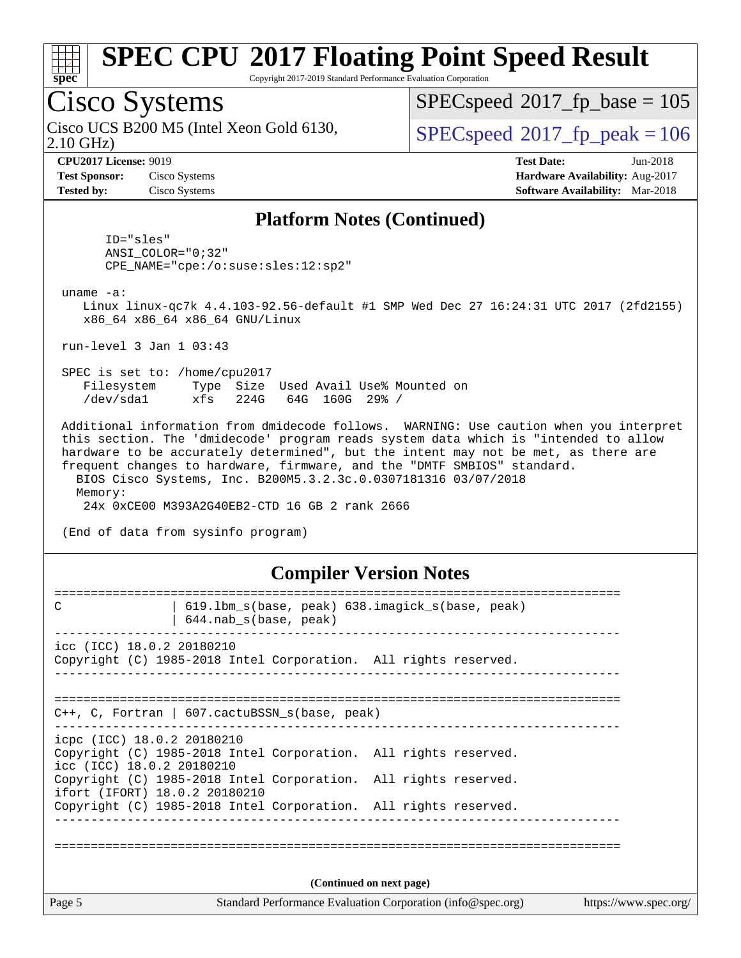

Copyright 2017-2019 Standard Performance Evaluation Corporation

### Cisco Systems

2.10 GHz) Cisco UCS B200 M5 (Intel Xeon Gold 6130,  $\vert$  [SPECspeed](http://www.spec.org/auto/cpu2017/Docs/result-fields.html#SPECspeed2017fppeak)®[2017\\_fp\\_peak = 1](http://www.spec.org/auto/cpu2017/Docs/result-fields.html#SPECspeed2017fppeak)06

[SPECspeed](http://www.spec.org/auto/cpu2017/Docs/result-fields.html#SPECspeed2017fpbase)<sup>®</sup>2017 fp base = 105

**[Test Sponsor:](http://www.spec.org/auto/cpu2017/Docs/result-fields.html#TestSponsor)** Cisco Systems **[Hardware Availability:](http://www.spec.org/auto/cpu2017/Docs/result-fields.html#HardwareAvailability)** Aug-2017 **[Tested by:](http://www.spec.org/auto/cpu2017/Docs/result-fields.html#Testedby)** Cisco Systems **[Software Availability:](http://www.spec.org/auto/cpu2017/Docs/result-fields.html#SoftwareAvailability)** Mar-2018

**[CPU2017 License:](http://www.spec.org/auto/cpu2017/Docs/result-fields.html#CPU2017License)** 9019 **[Test Date:](http://www.spec.org/auto/cpu2017/Docs/result-fields.html#TestDate)** Jun-2018

#### **[Platform Notes \(Continued\)](http://www.spec.org/auto/cpu2017/Docs/result-fields.html#PlatformNotes)**

 ID="sles" ANSI\_COLOR="0;32" CPE\_NAME="cpe:/o:suse:sles:12:sp2"

uname -a:

 Linux linux-qc7k 4.4.103-92.56-default #1 SMP Wed Dec 27 16:24:31 UTC 2017 (2fd2155) x86\_64 x86\_64 x86\_64 GNU/Linux

run-level 3 Jan 1 03:43

 SPEC is set to: /home/cpu2017 Filesystem Type Size Used Avail Use% Mounted on /dev/sda1 xfs 224G 64G 160G 29% /

 Additional information from dmidecode follows. WARNING: Use caution when you interpret this section. The 'dmidecode' program reads system data which is "intended to allow hardware to be accurately determined", but the intent may not be met, as there are frequent changes to hardware, firmware, and the "DMTF SMBIOS" standard. BIOS Cisco Systems, Inc. B200M5.3.2.3c.0.0307181316 03/07/2018 Memory:

24x 0xCE00 M393A2G40EB2-CTD 16 GB 2 rank 2666

(End of data from sysinfo program)

#### **[Compiler Version Notes](http://www.spec.org/auto/cpu2017/Docs/result-fields.html#CompilerVersionNotes)**

| C                                                                     | 619.1bm_s(base, peak) 638.imagick_s(base, peak)<br>$644.nab_s(base, peak)$ |                          |                       |
|-----------------------------------------------------------------------|----------------------------------------------------------------------------|--------------------------|-----------------------|
| $\text{icc}$ (ICC) 18.0.2 20180210                                    | Copyright (C) 1985-2018 Intel Corporation. All rights reserved.            |                          |                       |
|                                                                       | $C++$ , C, Fortran   607.cactuBSSN_s(base, peak)                           |                          |                       |
| icpc (ICC) 18.0.2 20180210<br>icc (ICC) 18.0.2 20180210               | Copyright (C) 1985-2018 Intel Corporation. All rights reserved.            |                          |                       |
| ifort (IFORT) 18.0.2 20180210                                         | Copyright (C) 1985-2018 Intel Corporation. All rights reserved.            |                          |                       |
|                                                                       | Copyright (C) 1985-2018 Intel Corporation. All rights reserved.            |                          |                       |
|                                                                       |                                                                            |                          |                       |
|                                                                       |                                                                            | (Continued on next page) |                       |
| Page 5<br>Standard Performance Evaluation Corporation (info@spec.org) |                                                                            |                          | https://www.spec.org/ |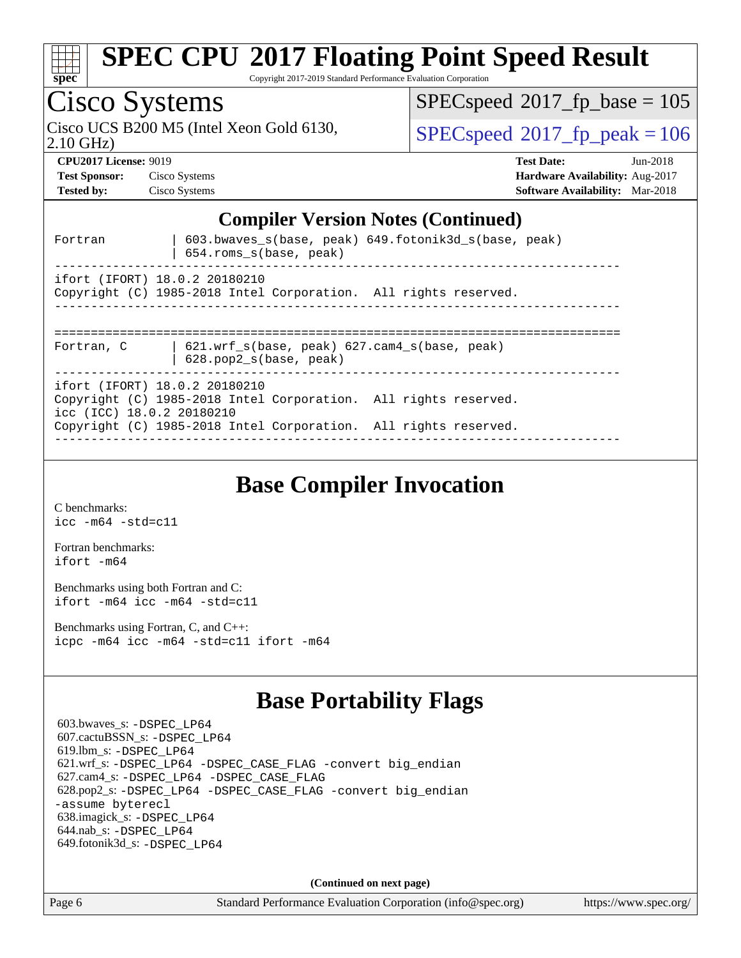| spec                                                                                                                                   | <b>SPEC CPU®2017 Floating Point Speed Result</b><br>Copyright 2017-2019 Standard Performance Evaluation Corporation |                                        |  |  |  |
|----------------------------------------------------------------------------------------------------------------------------------------|---------------------------------------------------------------------------------------------------------------------|----------------------------------------|--|--|--|
| Cisco Systems                                                                                                                          |                                                                                                                     | $SPEC speed^{\circ}2017$ fp base = 105 |  |  |  |
| 2.10 GHz)                                                                                                                              | Cisco UCS B200 M5 (Intel Xeon Gold 6130,                                                                            | $SPEC speed^{\circ}2017$ fp peak = 106 |  |  |  |
| <b>CPU2017 License: 9019</b>                                                                                                           |                                                                                                                     | <b>Test Date:</b><br>$Jun-2018$        |  |  |  |
| <b>Test Sponsor:</b>                                                                                                                   | Cisco Systems                                                                                                       | <b>Hardware Availability: Aug-2017</b> |  |  |  |
| <b>Tested by:</b>                                                                                                                      | Cisco Systems                                                                                                       | <b>Software Availability:</b> Mar-2018 |  |  |  |
| <b>Compiler Version Notes (Continued)</b><br>603.bwaves_s(base, peak) 649.fotonik3d_s(base, peak)<br>Fortran<br>654.roms_s(base, peak) |                                                                                                                     |                                        |  |  |  |
|                                                                                                                                        | ifort (IFORT) 18.0.2 20180210<br>Copyright (C) 1985-2018 Intel Corporation. All rights reserved.                    |                                        |  |  |  |
| Fortran, C                                                                                                                             | 621.wrf_s(base, peak) 627.cam4_s(base, peak)<br>628.pop2_s(base, peak)                                              |                                        |  |  |  |
| ifort (IFORT) 18.0.2 20180210<br>Copyright (C) 1985-2018 Intel Corporation. All rights reserved.                                       |                                                                                                                     |                                        |  |  |  |

[ifort -m64](http://www.spec.org/cpu2017/results/res2018q2/cpu2017-20180612-06928.flags.html#user_FCbase_intel_ifort_64bit_24f2bb282fbaeffd6157abe4f878425411749daecae9a33200eee2bee2fe76f3b89351d69a8130dd5949958ce389cf37ff59a95e7a40d588e8d3a57e0c3fd751)

[C benchmarks](http://www.spec.org/auto/cpu2017/Docs/result-fields.html#Cbenchmarks):

[icc -m64 -std=c11](http://www.spec.org/cpu2017/results/res2018q2/cpu2017-20180612-06928.flags.html#user_CCbase_intel_icc_64bit_c11_33ee0cdaae7deeeab2a9725423ba97205ce30f63b9926c2519791662299b76a0318f32ddfffdc46587804de3178b4f9328c46fa7c2b0cd779d7a61945c91cd35)

[Fortran benchmarks](http://www.spec.org/auto/cpu2017/Docs/result-fields.html#Fortranbenchmarks):

icc (ICC) 18.0.2 20180210

[Benchmarks using both Fortran and C](http://www.spec.org/auto/cpu2017/Docs/result-fields.html#BenchmarksusingbothFortranandC): [ifort -m64](http://www.spec.org/cpu2017/results/res2018q2/cpu2017-20180612-06928.flags.html#user_CC_FCbase_intel_ifort_64bit_24f2bb282fbaeffd6157abe4f878425411749daecae9a33200eee2bee2fe76f3b89351d69a8130dd5949958ce389cf37ff59a95e7a40d588e8d3a57e0c3fd751) [icc -m64 -std=c11](http://www.spec.org/cpu2017/results/res2018q2/cpu2017-20180612-06928.flags.html#user_CC_FCbase_intel_icc_64bit_c11_33ee0cdaae7deeeab2a9725423ba97205ce30f63b9926c2519791662299b76a0318f32ddfffdc46587804de3178b4f9328c46fa7c2b0cd779d7a61945c91cd35)

[Benchmarks using Fortran, C, and C++:](http://www.spec.org/auto/cpu2017/Docs/result-fields.html#BenchmarksusingFortranCandCXX) [icpc -m64](http://www.spec.org/cpu2017/results/res2018q2/cpu2017-20180612-06928.flags.html#user_CC_CXX_FCbase_intel_icpc_64bit_4ecb2543ae3f1412ef961e0650ca070fec7b7afdcd6ed48761b84423119d1bf6bdf5cad15b44d48e7256388bc77273b966e5eb805aefd121eb22e9299b2ec9d9) [icc -m64 -std=c11](http://www.spec.org/cpu2017/results/res2018q2/cpu2017-20180612-06928.flags.html#user_CC_CXX_FCbase_intel_icc_64bit_c11_33ee0cdaae7deeeab2a9725423ba97205ce30f63b9926c2519791662299b76a0318f32ddfffdc46587804de3178b4f9328c46fa7c2b0cd779d7a61945c91cd35) [ifort -m64](http://www.spec.org/cpu2017/results/res2018q2/cpu2017-20180612-06928.flags.html#user_CC_CXX_FCbase_intel_ifort_64bit_24f2bb282fbaeffd6157abe4f878425411749daecae9a33200eee2bee2fe76f3b89351d69a8130dd5949958ce389cf37ff59a95e7a40d588e8d3a57e0c3fd751)

### **[Base Portability Flags](http://www.spec.org/auto/cpu2017/Docs/result-fields.html#BasePortabilityFlags)**

 603.bwaves\_s: [-DSPEC\\_LP64](http://www.spec.org/cpu2017/results/res2018q2/cpu2017-20180612-06928.flags.html#suite_basePORTABILITY603_bwaves_s_DSPEC_LP64) 607.cactuBSSN\_s: [-DSPEC\\_LP64](http://www.spec.org/cpu2017/results/res2018q2/cpu2017-20180612-06928.flags.html#suite_basePORTABILITY607_cactuBSSN_s_DSPEC_LP64) 619.lbm\_s: [-DSPEC\\_LP64](http://www.spec.org/cpu2017/results/res2018q2/cpu2017-20180612-06928.flags.html#suite_basePORTABILITY619_lbm_s_DSPEC_LP64) 621.wrf\_s: [-DSPEC\\_LP64](http://www.spec.org/cpu2017/results/res2018q2/cpu2017-20180612-06928.flags.html#suite_basePORTABILITY621_wrf_s_DSPEC_LP64) [-DSPEC\\_CASE\\_FLAG](http://www.spec.org/cpu2017/results/res2018q2/cpu2017-20180612-06928.flags.html#b621.wrf_s_baseCPORTABILITY_DSPEC_CASE_FLAG) [-convert big\\_endian](http://www.spec.org/cpu2017/results/res2018q2/cpu2017-20180612-06928.flags.html#user_baseFPORTABILITY621_wrf_s_convert_big_endian_c3194028bc08c63ac5d04de18c48ce6d347e4e562e8892b8bdbdc0214820426deb8554edfa529a3fb25a586e65a3d812c835984020483e7e73212c4d31a38223) 627.cam4\_s: [-DSPEC\\_LP64](http://www.spec.org/cpu2017/results/res2018q2/cpu2017-20180612-06928.flags.html#suite_basePORTABILITY627_cam4_s_DSPEC_LP64) [-DSPEC\\_CASE\\_FLAG](http://www.spec.org/cpu2017/results/res2018q2/cpu2017-20180612-06928.flags.html#b627.cam4_s_baseCPORTABILITY_DSPEC_CASE_FLAG) 628.pop2\_s: [-DSPEC\\_LP64](http://www.spec.org/cpu2017/results/res2018q2/cpu2017-20180612-06928.flags.html#suite_basePORTABILITY628_pop2_s_DSPEC_LP64) [-DSPEC\\_CASE\\_FLAG](http://www.spec.org/cpu2017/results/res2018q2/cpu2017-20180612-06928.flags.html#b628.pop2_s_baseCPORTABILITY_DSPEC_CASE_FLAG) [-convert big\\_endian](http://www.spec.org/cpu2017/results/res2018q2/cpu2017-20180612-06928.flags.html#user_baseFPORTABILITY628_pop2_s_convert_big_endian_c3194028bc08c63ac5d04de18c48ce6d347e4e562e8892b8bdbdc0214820426deb8554edfa529a3fb25a586e65a3d812c835984020483e7e73212c4d31a38223) [-assume byterecl](http://www.spec.org/cpu2017/results/res2018q2/cpu2017-20180612-06928.flags.html#user_baseFPORTABILITY628_pop2_s_assume_byterecl_7e47d18b9513cf18525430bbf0f2177aa9bf368bc7a059c09b2c06a34b53bd3447c950d3f8d6c70e3faf3a05c8557d66a5798b567902e8849adc142926523472) 638.imagick\_s: [-DSPEC\\_LP64](http://www.spec.org/cpu2017/results/res2018q2/cpu2017-20180612-06928.flags.html#suite_basePORTABILITY638_imagick_s_DSPEC_LP64) 644.nab\_s: [-DSPEC\\_LP64](http://www.spec.org/cpu2017/results/res2018q2/cpu2017-20180612-06928.flags.html#suite_basePORTABILITY644_nab_s_DSPEC_LP64) 649.fotonik3d\_s: [-DSPEC\\_LP64](http://www.spec.org/cpu2017/results/res2018q2/cpu2017-20180612-06928.flags.html#suite_basePORTABILITY649_fotonik3d_s_DSPEC_LP64)

Copyright (C) 1985-2018 Intel Corporation. All rights reserved.

------------------------------------------------------------------------------

**[Base Compiler Invocation](http://www.spec.org/auto/cpu2017/Docs/result-fields.html#BaseCompilerInvocation)**

**(Continued on next page)**

Page 6 Standard Performance Evaluation Corporation [\(info@spec.org\)](mailto:info@spec.org) <https://www.spec.org/>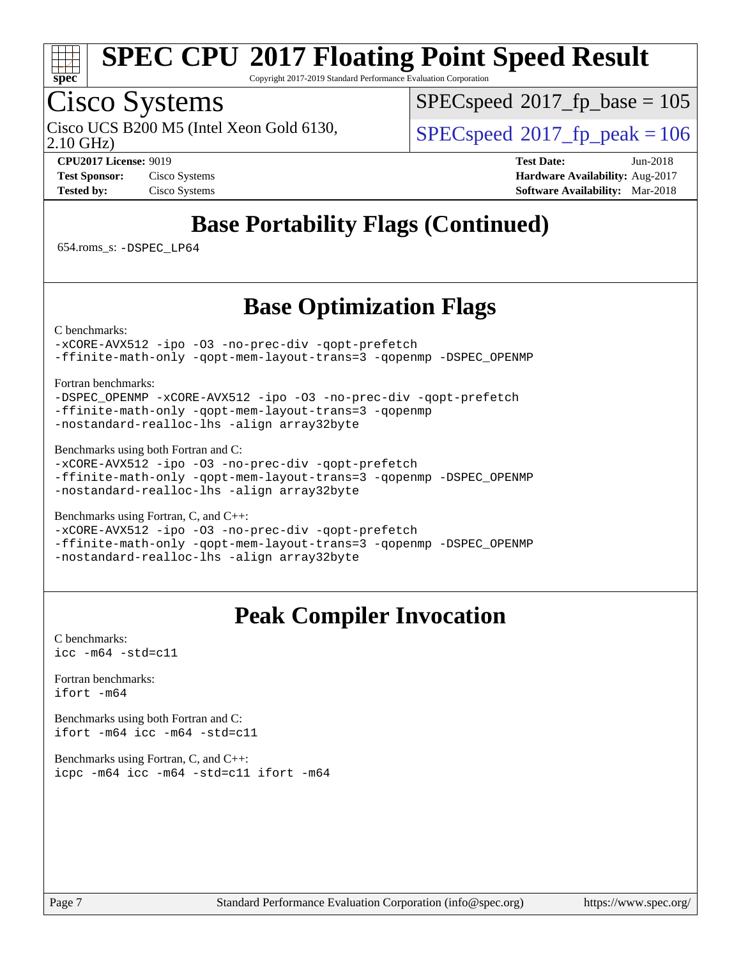

Copyright 2017-2019 Standard Performance Evaluation Corporation

### Cisco Systems

2.10 GHz) Cisco UCS B200 M5 (Intel Xeon Gold 6130,  $SPECspeed@2017$  $SPECspeed@2017$  fp\_peak = 106

[SPECspeed](http://www.spec.org/auto/cpu2017/Docs/result-fields.html#SPECspeed2017fpbase)<sup>®</sup>2017 fp base = 105

**[CPU2017 License:](http://www.spec.org/auto/cpu2017/Docs/result-fields.html#CPU2017License)** 9019 **[Test Date:](http://www.spec.org/auto/cpu2017/Docs/result-fields.html#TestDate)** Jun-2018 **[Test Sponsor:](http://www.spec.org/auto/cpu2017/Docs/result-fields.html#TestSponsor)** Cisco Systems **[Hardware Availability:](http://www.spec.org/auto/cpu2017/Docs/result-fields.html#HardwareAvailability)** Aug-2017 **[Tested by:](http://www.spec.org/auto/cpu2017/Docs/result-fields.html#Testedby)** Cisco Systems **[Software Availability:](http://www.spec.org/auto/cpu2017/Docs/result-fields.html#SoftwareAvailability)** Mar-2018

### **[Base Portability Flags \(Continued\)](http://www.spec.org/auto/cpu2017/Docs/result-fields.html#BasePortabilityFlags)**

654.roms\_s: [-DSPEC\\_LP64](http://www.spec.org/cpu2017/results/res2018q2/cpu2017-20180612-06928.flags.html#suite_basePORTABILITY654_roms_s_DSPEC_LP64)

### **[Base Optimization Flags](http://www.spec.org/auto/cpu2017/Docs/result-fields.html#BaseOptimizationFlags)**

[C benchmarks](http://www.spec.org/auto/cpu2017/Docs/result-fields.html#Cbenchmarks):

[-xCORE-AVX512](http://www.spec.org/cpu2017/results/res2018q2/cpu2017-20180612-06928.flags.html#user_CCbase_f-xCORE-AVX512) [-ipo](http://www.spec.org/cpu2017/results/res2018q2/cpu2017-20180612-06928.flags.html#user_CCbase_f-ipo) [-O3](http://www.spec.org/cpu2017/results/res2018q2/cpu2017-20180612-06928.flags.html#user_CCbase_f-O3) [-no-prec-div](http://www.spec.org/cpu2017/results/res2018q2/cpu2017-20180612-06928.flags.html#user_CCbase_f-no-prec-div) [-qopt-prefetch](http://www.spec.org/cpu2017/results/res2018q2/cpu2017-20180612-06928.flags.html#user_CCbase_f-qopt-prefetch) [-ffinite-math-only](http://www.spec.org/cpu2017/results/res2018q2/cpu2017-20180612-06928.flags.html#user_CCbase_f_finite_math_only_cb91587bd2077682c4b38af759c288ed7c732db004271a9512da14a4f8007909a5f1427ecbf1a0fb78ff2a814402c6114ac565ca162485bbcae155b5e4258871) [-qopt-mem-layout-trans=3](http://www.spec.org/cpu2017/results/res2018q2/cpu2017-20180612-06928.flags.html#user_CCbase_f-qopt-mem-layout-trans_de80db37974c74b1f0e20d883f0b675c88c3b01e9d123adea9b28688d64333345fb62bc4a798493513fdb68f60282f9a726aa07f478b2f7113531aecce732043) [-qopenmp](http://www.spec.org/cpu2017/results/res2018q2/cpu2017-20180612-06928.flags.html#user_CCbase_qopenmp_16be0c44f24f464004c6784a7acb94aca937f053568ce72f94b139a11c7c168634a55f6653758ddd83bcf7b8463e8028bb0b48b77bcddc6b78d5d95bb1df2967) [-DSPEC\\_OPENMP](http://www.spec.org/cpu2017/results/res2018q2/cpu2017-20180612-06928.flags.html#suite_CCbase_DSPEC_OPENMP)

[Fortran benchmarks](http://www.spec.org/auto/cpu2017/Docs/result-fields.html#Fortranbenchmarks):

[-DSPEC\\_OPENMP](http://www.spec.org/cpu2017/results/res2018q2/cpu2017-20180612-06928.flags.html#suite_FCbase_DSPEC_OPENMP) [-xCORE-AVX512](http://www.spec.org/cpu2017/results/res2018q2/cpu2017-20180612-06928.flags.html#user_FCbase_f-xCORE-AVX512) [-ipo](http://www.spec.org/cpu2017/results/res2018q2/cpu2017-20180612-06928.flags.html#user_FCbase_f-ipo) [-O3](http://www.spec.org/cpu2017/results/res2018q2/cpu2017-20180612-06928.flags.html#user_FCbase_f-O3) [-no-prec-div](http://www.spec.org/cpu2017/results/res2018q2/cpu2017-20180612-06928.flags.html#user_FCbase_f-no-prec-div) [-qopt-prefetch](http://www.spec.org/cpu2017/results/res2018q2/cpu2017-20180612-06928.flags.html#user_FCbase_f-qopt-prefetch) [-ffinite-math-only](http://www.spec.org/cpu2017/results/res2018q2/cpu2017-20180612-06928.flags.html#user_FCbase_f_finite_math_only_cb91587bd2077682c4b38af759c288ed7c732db004271a9512da14a4f8007909a5f1427ecbf1a0fb78ff2a814402c6114ac565ca162485bbcae155b5e4258871) [-qopt-mem-layout-trans=3](http://www.spec.org/cpu2017/results/res2018q2/cpu2017-20180612-06928.flags.html#user_FCbase_f-qopt-mem-layout-trans_de80db37974c74b1f0e20d883f0b675c88c3b01e9d123adea9b28688d64333345fb62bc4a798493513fdb68f60282f9a726aa07f478b2f7113531aecce732043) [-qopenmp](http://www.spec.org/cpu2017/results/res2018q2/cpu2017-20180612-06928.flags.html#user_FCbase_qopenmp_16be0c44f24f464004c6784a7acb94aca937f053568ce72f94b139a11c7c168634a55f6653758ddd83bcf7b8463e8028bb0b48b77bcddc6b78d5d95bb1df2967) [-nostandard-realloc-lhs](http://www.spec.org/cpu2017/results/res2018q2/cpu2017-20180612-06928.flags.html#user_FCbase_f_2003_std_realloc_82b4557e90729c0f113870c07e44d33d6f5a304b4f63d4c15d2d0f1fab99f5daaed73bdb9275d9ae411527f28b936061aa8b9c8f2d63842963b95c9dd6426b8a) [-align array32byte](http://www.spec.org/cpu2017/results/res2018q2/cpu2017-20180612-06928.flags.html#user_FCbase_align_array32byte_b982fe038af199962ba9a80c053b8342c548c85b40b8e86eb3cc33dee0d7986a4af373ac2d51c3f7cf710a18d62fdce2948f201cd044323541f22fc0fffc51b6)

[Benchmarks using both Fortran and C](http://www.spec.org/auto/cpu2017/Docs/result-fields.html#BenchmarksusingbothFortranandC):

[-xCORE-AVX512](http://www.spec.org/cpu2017/results/res2018q2/cpu2017-20180612-06928.flags.html#user_CC_FCbase_f-xCORE-AVX512) [-ipo](http://www.spec.org/cpu2017/results/res2018q2/cpu2017-20180612-06928.flags.html#user_CC_FCbase_f-ipo) [-O3](http://www.spec.org/cpu2017/results/res2018q2/cpu2017-20180612-06928.flags.html#user_CC_FCbase_f-O3) [-no-prec-div](http://www.spec.org/cpu2017/results/res2018q2/cpu2017-20180612-06928.flags.html#user_CC_FCbase_f-no-prec-div) [-qopt-prefetch](http://www.spec.org/cpu2017/results/res2018q2/cpu2017-20180612-06928.flags.html#user_CC_FCbase_f-qopt-prefetch) [-ffinite-math-only](http://www.spec.org/cpu2017/results/res2018q2/cpu2017-20180612-06928.flags.html#user_CC_FCbase_f_finite_math_only_cb91587bd2077682c4b38af759c288ed7c732db004271a9512da14a4f8007909a5f1427ecbf1a0fb78ff2a814402c6114ac565ca162485bbcae155b5e4258871) [-qopt-mem-layout-trans=3](http://www.spec.org/cpu2017/results/res2018q2/cpu2017-20180612-06928.flags.html#user_CC_FCbase_f-qopt-mem-layout-trans_de80db37974c74b1f0e20d883f0b675c88c3b01e9d123adea9b28688d64333345fb62bc4a798493513fdb68f60282f9a726aa07f478b2f7113531aecce732043) [-qopenmp](http://www.spec.org/cpu2017/results/res2018q2/cpu2017-20180612-06928.flags.html#user_CC_FCbase_qopenmp_16be0c44f24f464004c6784a7acb94aca937f053568ce72f94b139a11c7c168634a55f6653758ddd83bcf7b8463e8028bb0b48b77bcddc6b78d5d95bb1df2967) [-DSPEC\\_OPENMP](http://www.spec.org/cpu2017/results/res2018q2/cpu2017-20180612-06928.flags.html#suite_CC_FCbase_DSPEC_OPENMP) [-nostandard-realloc-lhs](http://www.spec.org/cpu2017/results/res2018q2/cpu2017-20180612-06928.flags.html#user_CC_FCbase_f_2003_std_realloc_82b4557e90729c0f113870c07e44d33d6f5a304b4f63d4c15d2d0f1fab99f5daaed73bdb9275d9ae411527f28b936061aa8b9c8f2d63842963b95c9dd6426b8a) [-align array32byte](http://www.spec.org/cpu2017/results/res2018q2/cpu2017-20180612-06928.flags.html#user_CC_FCbase_align_array32byte_b982fe038af199962ba9a80c053b8342c548c85b40b8e86eb3cc33dee0d7986a4af373ac2d51c3f7cf710a18d62fdce2948f201cd044323541f22fc0fffc51b6)

[Benchmarks using Fortran, C, and C++:](http://www.spec.org/auto/cpu2017/Docs/result-fields.html#BenchmarksusingFortranCandCXX)

[-xCORE-AVX512](http://www.spec.org/cpu2017/results/res2018q2/cpu2017-20180612-06928.flags.html#user_CC_CXX_FCbase_f-xCORE-AVX512) [-ipo](http://www.spec.org/cpu2017/results/res2018q2/cpu2017-20180612-06928.flags.html#user_CC_CXX_FCbase_f-ipo) [-O3](http://www.spec.org/cpu2017/results/res2018q2/cpu2017-20180612-06928.flags.html#user_CC_CXX_FCbase_f-O3) [-no-prec-div](http://www.spec.org/cpu2017/results/res2018q2/cpu2017-20180612-06928.flags.html#user_CC_CXX_FCbase_f-no-prec-div) [-qopt-prefetch](http://www.spec.org/cpu2017/results/res2018q2/cpu2017-20180612-06928.flags.html#user_CC_CXX_FCbase_f-qopt-prefetch) [-ffinite-math-only](http://www.spec.org/cpu2017/results/res2018q2/cpu2017-20180612-06928.flags.html#user_CC_CXX_FCbase_f_finite_math_only_cb91587bd2077682c4b38af759c288ed7c732db004271a9512da14a4f8007909a5f1427ecbf1a0fb78ff2a814402c6114ac565ca162485bbcae155b5e4258871) [-qopt-mem-layout-trans=3](http://www.spec.org/cpu2017/results/res2018q2/cpu2017-20180612-06928.flags.html#user_CC_CXX_FCbase_f-qopt-mem-layout-trans_de80db37974c74b1f0e20d883f0b675c88c3b01e9d123adea9b28688d64333345fb62bc4a798493513fdb68f60282f9a726aa07f478b2f7113531aecce732043) [-qopenmp](http://www.spec.org/cpu2017/results/res2018q2/cpu2017-20180612-06928.flags.html#user_CC_CXX_FCbase_qopenmp_16be0c44f24f464004c6784a7acb94aca937f053568ce72f94b139a11c7c168634a55f6653758ddd83bcf7b8463e8028bb0b48b77bcddc6b78d5d95bb1df2967) [-DSPEC\\_OPENMP](http://www.spec.org/cpu2017/results/res2018q2/cpu2017-20180612-06928.flags.html#suite_CC_CXX_FCbase_DSPEC_OPENMP) [-nostandard-realloc-lhs](http://www.spec.org/cpu2017/results/res2018q2/cpu2017-20180612-06928.flags.html#user_CC_CXX_FCbase_f_2003_std_realloc_82b4557e90729c0f113870c07e44d33d6f5a304b4f63d4c15d2d0f1fab99f5daaed73bdb9275d9ae411527f28b936061aa8b9c8f2d63842963b95c9dd6426b8a) [-align array32byte](http://www.spec.org/cpu2017/results/res2018q2/cpu2017-20180612-06928.flags.html#user_CC_CXX_FCbase_align_array32byte_b982fe038af199962ba9a80c053b8342c548c85b40b8e86eb3cc33dee0d7986a4af373ac2d51c3f7cf710a18d62fdce2948f201cd044323541f22fc0fffc51b6)

### **[Peak Compiler Invocation](http://www.spec.org/auto/cpu2017/Docs/result-fields.html#PeakCompilerInvocation)**

[C benchmarks](http://www.spec.org/auto/cpu2017/Docs/result-fields.html#Cbenchmarks): [icc -m64 -std=c11](http://www.spec.org/cpu2017/results/res2018q2/cpu2017-20180612-06928.flags.html#user_CCpeak_intel_icc_64bit_c11_33ee0cdaae7deeeab2a9725423ba97205ce30f63b9926c2519791662299b76a0318f32ddfffdc46587804de3178b4f9328c46fa7c2b0cd779d7a61945c91cd35)

[Fortran benchmarks](http://www.spec.org/auto/cpu2017/Docs/result-fields.html#Fortranbenchmarks): [ifort -m64](http://www.spec.org/cpu2017/results/res2018q2/cpu2017-20180612-06928.flags.html#user_FCpeak_intel_ifort_64bit_24f2bb282fbaeffd6157abe4f878425411749daecae9a33200eee2bee2fe76f3b89351d69a8130dd5949958ce389cf37ff59a95e7a40d588e8d3a57e0c3fd751)

[Benchmarks using both Fortran and C](http://www.spec.org/auto/cpu2017/Docs/result-fields.html#BenchmarksusingbothFortranandC): [ifort -m64](http://www.spec.org/cpu2017/results/res2018q2/cpu2017-20180612-06928.flags.html#user_CC_FCpeak_intel_ifort_64bit_24f2bb282fbaeffd6157abe4f878425411749daecae9a33200eee2bee2fe76f3b89351d69a8130dd5949958ce389cf37ff59a95e7a40d588e8d3a57e0c3fd751) [icc -m64 -std=c11](http://www.spec.org/cpu2017/results/res2018q2/cpu2017-20180612-06928.flags.html#user_CC_FCpeak_intel_icc_64bit_c11_33ee0cdaae7deeeab2a9725423ba97205ce30f63b9926c2519791662299b76a0318f32ddfffdc46587804de3178b4f9328c46fa7c2b0cd779d7a61945c91cd35)

[Benchmarks using Fortran, C, and C++:](http://www.spec.org/auto/cpu2017/Docs/result-fields.html#BenchmarksusingFortranCandCXX) [icpc -m64](http://www.spec.org/cpu2017/results/res2018q2/cpu2017-20180612-06928.flags.html#user_CC_CXX_FCpeak_intel_icpc_64bit_4ecb2543ae3f1412ef961e0650ca070fec7b7afdcd6ed48761b84423119d1bf6bdf5cad15b44d48e7256388bc77273b966e5eb805aefd121eb22e9299b2ec9d9) [icc -m64 -std=c11](http://www.spec.org/cpu2017/results/res2018q2/cpu2017-20180612-06928.flags.html#user_CC_CXX_FCpeak_intel_icc_64bit_c11_33ee0cdaae7deeeab2a9725423ba97205ce30f63b9926c2519791662299b76a0318f32ddfffdc46587804de3178b4f9328c46fa7c2b0cd779d7a61945c91cd35) [ifort -m64](http://www.spec.org/cpu2017/results/res2018q2/cpu2017-20180612-06928.flags.html#user_CC_CXX_FCpeak_intel_ifort_64bit_24f2bb282fbaeffd6157abe4f878425411749daecae9a33200eee2bee2fe76f3b89351d69a8130dd5949958ce389cf37ff59a95e7a40d588e8d3a57e0c3fd751)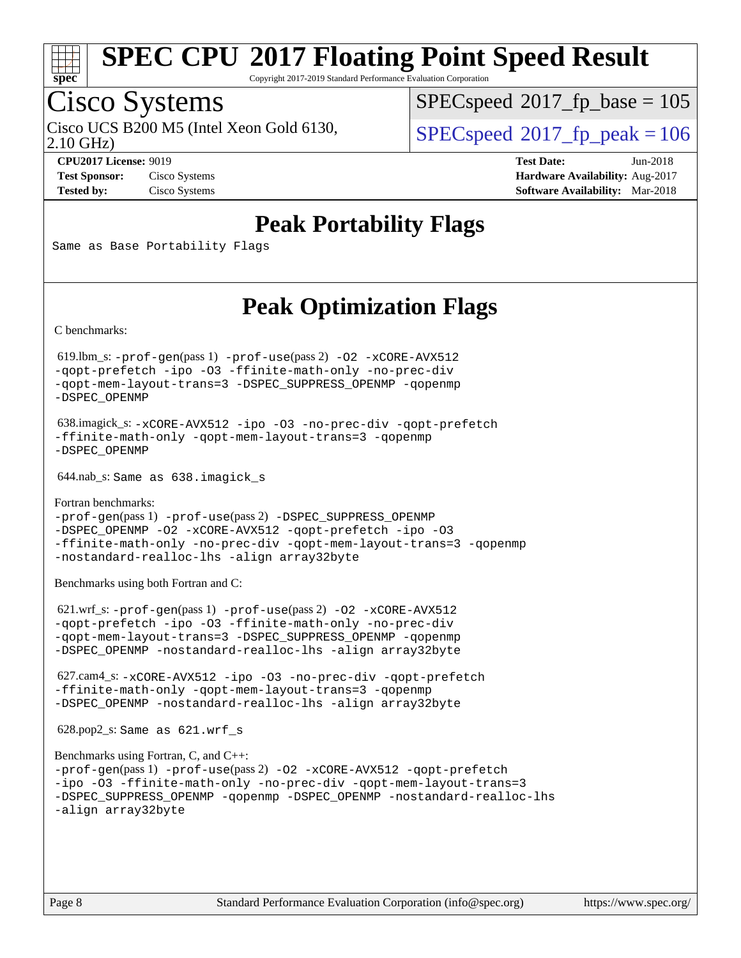

Copyright 2017-2019 Standard Performance Evaluation Corporation

## Cisco Systems

2.10 GHz) Cisco UCS B200 M5 (Intel Xeon Gold 6130,  $SPECspeed@2017$  $SPECspeed@2017$  fp\_peak = 106

[SPECspeed](http://www.spec.org/auto/cpu2017/Docs/result-fields.html#SPECspeed2017fpbase)<sup>®</sup>2017 fp base = 105

**[CPU2017 License:](http://www.spec.org/auto/cpu2017/Docs/result-fields.html#CPU2017License)** 9019 **[Test Date:](http://www.spec.org/auto/cpu2017/Docs/result-fields.html#TestDate)** Jun-2018 **[Test Sponsor:](http://www.spec.org/auto/cpu2017/Docs/result-fields.html#TestSponsor)** Cisco Systems **[Hardware Availability:](http://www.spec.org/auto/cpu2017/Docs/result-fields.html#HardwareAvailability)** Aug-2017 **[Tested by:](http://www.spec.org/auto/cpu2017/Docs/result-fields.html#Testedby)** Cisco Systems **[Software Availability:](http://www.spec.org/auto/cpu2017/Docs/result-fields.html#SoftwareAvailability)** Mar-2018

### **[Peak Portability Flags](http://www.spec.org/auto/cpu2017/Docs/result-fields.html#PeakPortabilityFlags)**

Same as Base Portability Flags

### **[Peak Optimization Flags](http://www.spec.org/auto/cpu2017/Docs/result-fields.html#PeakOptimizationFlags)**

[C benchmarks](http://www.spec.org/auto/cpu2017/Docs/result-fields.html#Cbenchmarks):

 619.lbm\_s: [-prof-gen](http://www.spec.org/cpu2017/results/res2018q2/cpu2017-20180612-06928.flags.html#user_peakPASS1_CFLAGSPASS1_LDFLAGS619_lbm_s_prof_gen_5aa4926d6013ddb2a31985c654b3eb18169fc0c6952a63635c234f711e6e63dd76e94ad52365559451ec499a2cdb89e4dc58ba4c67ef54ca681ffbe1461d6b36)(pass 1) [-prof-use](http://www.spec.org/cpu2017/results/res2018q2/cpu2017-20180612-06928.flags.html#user_peakPASS2_CFLAGSPASS2_LDFLAGS619_lbm_s_prof_use_1a21ceae95f36a2b53c25747139a6c16ca95bd9def2a207b4f0849963b97e94f5260e30a0c64f4bb623698870e679ca08317ef8150905d41bd88c6f78df73f19)(pass 2) [-O2](http://www.spec.org/cpu2017/results/res2018q2/cpu2017-20180612-06928.flags.html#user_peakPASS1_COPTIMIZE619_lbm_s_f-O2) [-xCORE-AVX512](http://www.spec.org/cpu2017/results/res2018q2/cpu2017-20180612-06928.flags.html#user_peakPASS2_COPTIMIZE619_lbm_s_f-xCORE-AVX512) [-qopt-prefetch](http://www.spec.org/cpu2017/results/res2018q2/cpu2017-20180612-06928.flags.html#user_peakPASS1_COPTIMIZEPASS2_COPTIMIZE619_lbm_s_f-qopt-prefetch) [-ipo](http://www.spec.org/cpu2017/results/res2018q2/cpu2017-20180612-06928.flags.html#user_peakPASS2_COPTIMIZE619_lbm_s_f-ipo) [-O3](http://www.spec.org/cpu2017/results/res2018q2/cpu2017-20180612-06928.flags.html#user_peakPASS2_COPTIMIZE619_lbm_s_f-O3) [-ffinite-math-only](http://www.spec.org/cpu2017/results/res2018q2/cpu2017-20180612-06928.flags.html#user_peakPASS1_COPTIMIZEPASS2_COPTIMIZE619_lbm_s_f_finite_math_only_cb91587bd2077682c4b38af759c288ed7c732db004271a9512da14a4f8007909a5f1427ecbf1a0fb78ff2a814402c6114ac565ca162485bbcae155b5e4258871) [-no-prec-div](http://www.spec.org/cpu2017/results/res2018q2/cpu2017-20180612-06928.flags.html#user_peakPASS2_COPTIMIZE619_lbm_s_f-no-prec-div) [-qopt-mem-layout-trans=3](http://www.spec.org/cpu2017/results/res2018q2/cpu2017-20180612-06928.flags.html#user_peakPASS1_COPTIMIZEPASS2_COPTIMIZE619_lbm_s_f-qopt-mem-layout-trans_de80db37974c74b1f0e20d883f0b675c88c3b01e9d123adea9b28688d64333345fb62bc4a798493513fdb68f60282f9a726aa07f478b2f7113531aecce732043) [-DSPEC\\_SUPPRESS\\_OPENMP](http://www.spec.org/cpu2017/results/res2018q2/cpu2017-20180612-06928.flags.html#suite_peakPASS1_COPTIMIZE619_lbm_s_DSPEC_SUPPRESS_OPENMP) [-qopenmp](http://www.spec.org/cpu2017/results/res2018q2/cpu2017-20180612-06928.flags.html#user_peakPASS2_COPTIMIZE619_lbm_s_qopenmp_16be0c44f24f464004c6784a7acb94aca937f053568ce72f94b139a11c7c168634a55f6653758ddd83bcf7b8463e8028bb0b48b77bcddc6b78d5d95bb1df2967) [-DSPEC\\_OPENMP](http://www.spec.org/cpu2017/results/res2018q2/cpu2017-20180612-06928.flags.html#suite_peakPASS2_COPTIMIZE619_lbm_s_DSPEC_OPENMP)

 638.imagick\_s: [-xCORE-AVX512](http://www.spec.org/cpu2017/results/res2018q2/cpu2017-20180612-06928.flags.html#user_peakCOPTIMIZE638_imagick_s_f-xCORE-AVX512) [-ipo](http://www.spec.org/cpu2017/results/res2018q2/cpu2017-20180612-06928.flags.html#user_peakCOPTIMIZE638_imagick_s_f-ipo) [-O3](http://www.spec.org/cpu2017/results/res2018q2/cpu2017-20180612-06928.flags.html#user_peakCOPTIMIZE638_imagick_s_f-O3) [-no-prec-div](http://www.spec.org/cpu2017/results/res2018q2/cpu2017-20180612-06928.flags.html#user_peakCOPTIMIZE638_imagick_s_f-no-prec-div) [-qopt-prefetch](http://www.spec.org/cpu2017/results/res2018q2/cpu2017-20180612-06928.flags.html#user_peakCOPTIMIZE638_imagick_s_f-qopt-prefetch) [-ffinite-math-only](http://www.spec.org/cpu2017/results/res2018q2/cpu2017-20180612-06928.flags.html#user_peakCOPTIMIZE638_imagick_s_f_finite_math_only_cb91587bd2077682c4b38af759c288ed7c732db004271a9512da14a4f8007909a5f1427ecbf1a0fb78ff2a814402c6114ac565ca162485bbcae155b5e4258871) [-qopt-mem-layout-trans=3](http://www.spec.org/cpu2017/results/res2018q2/cpu2017-20180612-06928.flags.html#user_peakCOPTIMIZE638_imagick_s_f-qopt-mem-layout-trans_de80db37974c74b1f0e20d883f0b675c88c3b01e9d123adea9b28688d64333345fb62bc4a798493513fdb68f60282f9a726aa07f478b2f7113531aecce732043) [-qopenmp](http://www.spec.org/cpu2017/results/res2018q2/cpu2017-20180612-06928.flags.html#user_peakCOPTIMIZE638_imagick_s_qopenmp_16be0c44f24f464004c6784a7acb94aca937f053568ce72f94b139a11c7c168634a55f6653758ddd83bcf7b8463e8028bb0b48b77bcddc6b78d5d95bb1df2967) [-DSPEC\\_OPENMP](http://www.spec.org/cpu2017/results/res2018q2/cpu2017-20180612-06928.flags.html#suite_peakCOPTIMIZE638_imagick_s_DSPEC_OPENMP)

644.nab\_s: Same as 638.imagick\_s

[Fortran benchmarks](http://www.spec.org/auto/cpu2017/Docs/result-fields.html#Fortranbenchmarks): [-prof-gen](http://www.spec.org/cpu2017/results/res2018q2/cpu2017-20180612-06928.flags.html#user_FCpeak_prof_gen_5aa4926d6013ddb2a31985c654b3eb18169fc0c6952a63635c234f711e6e63dd76e94ad52365559451ec499a2cdb89e4dc58ba4c67ef54ca681ffbe1461d6b36)(pass 1) [-prof-use](http://www.spec.org/cpu2017/results/res2018q2/cpu2017-20180612-06928.flags.html#user_FCpeak_prof_use_1a21ceae95f36a2b53c25747139a6c16ca95bd9def2a207b4f0849963b97e94f5260e30a0c64f4bb623698870e679ca08317ef8150905d41bd88c6f78df73f19)(pass 2) [-DSPEC\\_SUPPRESS\\_OPENMP](http://www.spec.org/cpu2017/results/res2018q2/cpu2017-20180612-06928.flags.html#suite_FCpeak_DSPEC_SUPPRESS_OPENMP) [-DSPEC\\_OPENMP](http://www.spec.org/cpu2017/results/res2018q2/cpu2017-20180612-06928.flags.html#suite_FCpeak_DSPEC_OPENMP) [-O2](http://www.spec.org/cpu2017/results/res2018q2/cpu2017-20180612-06928.flags.html#user_FCpeak_f-O2) [-xCORE-AVX512](http://www.spec.org/cpu2017/results/res2018q2/cpu2017-20180612-06928.flags.html#user_FCpeak_f-xCORE-AVX512) [-qopt-prefetch](http://www.spec.org/cpu2017/results/res2018q2/cpu2017-20180612-06928.flags.html#user_FCpeak_f-qopt-prefetch) [-ipo](http://www.spec.org/cpu2017/results/res2018q2/cpu2017-20180612-06928.flags.html#user_FCpeak_f-ipo) [-O3](http://www.spec.org/cpu2017/results/res2018q2/cpu2017-20180612-06928.flags.html#user_FCpeak_f-O3) [-ffinite-math-only](http://www.spec.org/cpu2017/results/res2018q2/cpu2017-20180612-06928.flags.html#user_FCpeak_f_finite_math_only_cb91587bd2077682c4b38af759c288ed7c732db004271a9512da14a4f8007909a5f1427ecbf1a0fb78ff2a814402c6114ac565ca162485bbcae155b5e4258871) [-no-prec-div](http://www.spec.org/cpu2017/results/res2018q2/cpu2017-20180612-06928.flags.html#user_FCpeak_f-no-prec-div) [-qopt-mem-layout-trans=3](http://www.spec.org/cpu2017/results/res2018q2/cpu2017-20180612-06928.flags.html#user_FCpeak_f-qopt-mem-layout-trans_de80db37974c74b1f0e20d883f0b675c88c3b01e9d123adea9b28688d64333345fb62bc4a798493513fdb68f60282f9a726aa07f478b2f7113531aecce732043) [-qopenmp](http://www.spec.org/cpu2017/results/res2018q2/cpu2017-20180612-06928.flags.html#user_FCpeak_qopenmp_16be0c44f24f464004c6784a7acb94aca937f053568ce72f94b139a11c7c168634a55f6653758ddd83bcf7b8463e8028bb0b48b77bcddc6b78d5d95bb1df2967) [-nostandard-realloc-lhs](http://www.spec.org/cpu2017/results/res2018q2/cpu2017-20180612-06928.flags.html#user_FCpeak_f_2003_std_realloc_82b4557e90729c0f113870c07e44d33d6f5a304b4f63d4c15d2d0f1fab99f5daaed73bdb9275d9ae411527f28b936061aa8b9c8f2d63842963b95c9dd6426b8a) [-align array32byte](http://www.spec.org/cpu2017/results/res2018q2/cpu2017-20180612-06928.flags.html#user_FCpeak_align_array32byte_b982fe038af199962ba9a80c053b8342c548c85b40b8e86eb3cc33dee0d7986a4af373ac2d51c3f7cf710a18d62fdce2948f201cd044323541f22fc0fffc51b6)

[Benchmarks using both Fortran and C](http://www.spec.org/auto/cpu2017/Docs/result-fields.html#BenchmarksusingbothFortranandC):

 621.wrf\_s: [-prof-gen](http://www.spec.org/cpu2017/results/res2018q2/cpu2017-20180612-06928.flags.html#user_peakPASS1_CFLAGSPASS1_FFLAGSPASS1_LDFLAGS621_wrf_s_prof_gen_5aa4926d6013ddb2a31985c654b3eb18169fc0c6952a63635c234f711e6e63dd76e94ad52365559451ec499a2cdb89e4dc58ba4c67ef54ca681ffbe1461d6b36)(pass 1) [-prof-use](http://www.spec.org/cpu2017/results/res2018q2/cpu2017-20180612-06928.flags.html#user_peakPASS2_CFLAGSPASS2_FFLAGSPASS2_LDFLAGS621_wrf_s_prof_use_1a21ceae95f36a2b53c25747139a6c16ca95bd9def2a207b4f0849963b97e94f5260e30a0c64f4bb623698870e679ca08317ef8150905d41bd88c6f78df73f19)(pass 2) [-O2](http://www.spec.org/cpu2017/results/res2018q2/cpu2017-20180612-06928.flags.html#user_peakPASS1_COPTIMIZEPASS1_FOPTIMIZE621_wrf_s_f-O2) [-xCORE-AVX512](http://www.spec.org/cpu2017/results/res2018q2/cpu2017-20180612-06928.flags.html#user_peakPASS2_COPTIMIZEPASS2_FOPTIMIZE621_wrf_s_f-xCORE-AVX512) [-qopt-prefetch](http://www.spec.org/cpu2017/results/res2018q2/cpu2017-20180612-06928.flags.html#user_peakPASS1_COPTIMIZEPASS1_FOPTIMIZEPASS2_COPTIMIZEPASS2_FOPTIMIZE621_wrf_s_f-qopt-prefetch) [-ipo](http://www.spec.org/cpu2017/results/res2018q2/cpu2017-20180612-06928.flags.html#user_peakPASS2_COPTIMIZEPASS2_FOPTIMIZE621_wrf_s_f-ipo) [-O3](http://www.spec.org/cpu2017/results/res2018q2/cpu2017-20180612-06928.flags.html#user_peakPASS2_COPTIMIZEPASS2_FOPTIMIZE621_wrf_s_f-O3) [-ffinite-math-only](http://www.spec.org/cpu2017/results/res2018q2/cpu2017-20180612-06928.flags.html#user_peakPASS1_COPTIMIZEPASS1_FOPTIMIZEPASS2_COPTIMIZEPASS2_FOPTIMIZE621_wrf_s_f_finite_math_only_cb91587bd2077682c4b38af759c288ed7c732db004271a9512da14a4f8007909a5f1427ecbf1a0fb78ff2a814402c6114ac565ca162485bbcae155b5e4258871) [-no-prec-div](http://www.spec.org/cpu2017/results/res2018q2/cpu2017-20180612-06928.flags.html#user_peakPASS2_COPTIMIZEPASS2_FOPTIMIZE621_wrf_s_f-no-prec-div) [-qopt-mem-layout-trans=3](http://www.spec.org/cpu2017/results/res2018q2/cpu2017-20180612-06928.flags.html#user_peakPASS1_COPTIMIZEPASS1_FOPTIMIZEPASS2_COPTIMIZEPASS2_FOPTIMIZE621_wrf_s_f-qopt-mem-layout-trans_de80db37974c74b1f0e20d883f0b675c88c3b01e9d123adea9b28688d64333345fb62bc4a798493513fdb68f60282f9a726aa07f478b2f7113531aecce732043) [-DSPEC\\_SUPPRESS\\_OPENMP](http://www.spec.org/cpu2017/results/res2018q2/cpu2017-20180612-06928.flags.html#suite_peakPASS1_COPTIMIZEPASS1_FOPTIMIZE621_wrf_s_DSPEC_SUPPRESS_OPENMP) [-qopenmp](http://www.spec.org/cpu2017/results/res2018q2/cpu2017-20180612-06928.flags.html#user_peakPASS2_COPTIMIZEPASS2_FOPTIMIZE621_wrf_s_qopenmp_16be0c44f24f464004c6784a7acb94aca937f053568ce72f94b139a11c7c168634a55f6653758ddd83bcf7b8463e8028bb0b48b77bcddc6b78d5d95bb1df2967) [-DSPEC\\_OPENMP](http://www.spec.org/cpu2017/results/res2018q2/cpu2017-20180612-06928.flags.html#suite_peakPASS2_COPTIMIZEPASS2_FOPTIMIZE621_wrf_s_DSPEC_OPENMP) [-nostandard-realloc-lhs](http://www.spec.org/cpu2017/results/res2018q2/cpu2017-20180612-06928.flags.html#user_peakEXTRA_FOPTIMIZE621_wrf_s_f_2003_std_realloc_82b4557e90729c0f113870c07e44d33d6f5a304b4f63d4c15d2d0f1fab99f5daaed73bdb9275d9ae411527f28b936061aa8b9c8f2d63842963b95c9dd6426b8a) [-align array32byte](http://www.spec.org/cpu2017/results/res2018q2/cpu2017-20180612-06928.flags.html#user_peakEXTRA_FOPTIMIZE621_wrf_s_align_array32byte_b982fe038af199962ba9a80c053b8342c548c85b40b8e86eb3cc33dee0d7986a4af373ac2d51c3f7cf710a18d62fdce2948f201cd044323541f22fc0fffc51b6)

 627.cam4\_s: [-xCORE-AVX512](http://www.spec.org/cpu2017/results/res2018q2/cpu2017-20180612-06928.flags.html#user_peakCOPTIMIZEFOPTIMIZE627_cam4_s_f-xCORE-AVX512) [-ipo](http://www.spec.org/cpu2017/results/res2018q2/cpu2017-20180612-06928.flags.html#user_peakCOPTIMIZEFOPTIMIZE627_cam4_s_f-ipo) [-O3](http://www.spec.org/cpu2017/results/res2018q2/cpu2017-20180612-06928.flags.html#user_peakCOPTIMIZEFOPTIMIZE627_cam4_s_f-O3) [-no-prec-div](http://www.spec.org/cpu2017/results/res2018q2/cpu2017-20180612-06928.flags.html#user_peakCOPTIMIZEFOPTIMIZE627_cam4_s_f-no-prec-div) [-qopt-prefetch](http://www.spec.org/cpu2017/results/res2018q2/cpu2017-20180612-06928.flags.html#user_peakCOPTIMIZEFOPTIMIZE627_cam4_s_f-qopt-prefetch) [-ffinite-math-only](http://www.spec.org/cpu2017/results/res2018q2/cpu2017-20180612-06928.flags.html#user_peakCOPTIMIZEFOPTIMIZE627_cam4_s_f_finite_math_only_cb91587bd2077682c4b38af759c288ed7c732db004271a9512da14a4f8007909a5f1427ecbf1a0fb78ff2a814402c6114ac565ca162485bbcae155b5e4258871) [-qopt-mem-layout-trans=3](http://www.spec.org/cpu2017/results/res2018q2/cpu2017-20180612-06928.flags.html#user_peakCOPTIMIZEFOPTIMIZE627_cam4_s_f-qopt-mem-layout-trans_de80db37974c74b1f0e20d883f0b675c88c3b01e9d123adea9b28688d64333345fb62bc4a798493513fdb68f60282f9a726aa07f478b2f7113531aecce732043) [-qopenmp](http://www.spec.org/cpu2017/results/res2018q2/cpu2017-20180612-06928.flags.html#user_peakCOPTIMIZEFOPTIMIZE627_cam4_s_qopenmp_16be0c44f24f464004c6784a7acb94aca937f053568ce72f94b139a11c7c168634a55f6653758ddd83bcf7b8463e8028bb0b48b77bcddc6b78d5d95bb1df2967) [-DSPEC\\_OPENMP](http://www.spec.org/cpu2017/results/res2018q2/cpu2017-20180612-06928.flags.html#suite_peakCOPTIMIZEFOPTIMIZE627_cam4_s_DSPEC_OPENMP) [-nostandard-realloc-lhs](http://www.spec.org/cpu2017/results/res2018q2/cpu2017-20180612-06928.flags.html#user_peakEXTRA_FOPTIMIZE627_cam4_s_f_2003_std_realloc_82b4557e90729c0f113870c07e44d33d6f5a304b4f63d4c15d2d0f1fab99f5daaed73bdb9275d9ae411527f28b936061aa8b9c8f2d63842963b95c9dd6426b8a) [-align array32byte](http://www.spec.org/cpu2017/results/res2018q2/cpu2017-20180612-06928.flags.html#user_peakEXTRA_FOPTIMIZE627_cam4_s_align_array32byte_b982fe038af199962ba9a80c053b8342c548c85b40b8e86eb3cc33dee0d7986a4af373ac2d51c3f7cf710a18d62fdce2948f201cd044323541f22fc0fffc51b6)

628.pop2\_s: Same as 621.wrf\_s

```
Benchmarks using Fortran, C, and C++: 
-prof-gen(pass 1) -prof-use(pass 2) -O2 -xCORE-AVX512 -qopt-prefetch
-ipo -O3 -ffinite-math-only -no-prec-div -qopt-mem-layout-trans=3
-DSPEC_SUPPRESS_OPENMP -qopenmp -DSPEC_OPENMP -nostandard-realloc-lhs
-align array32byte
```